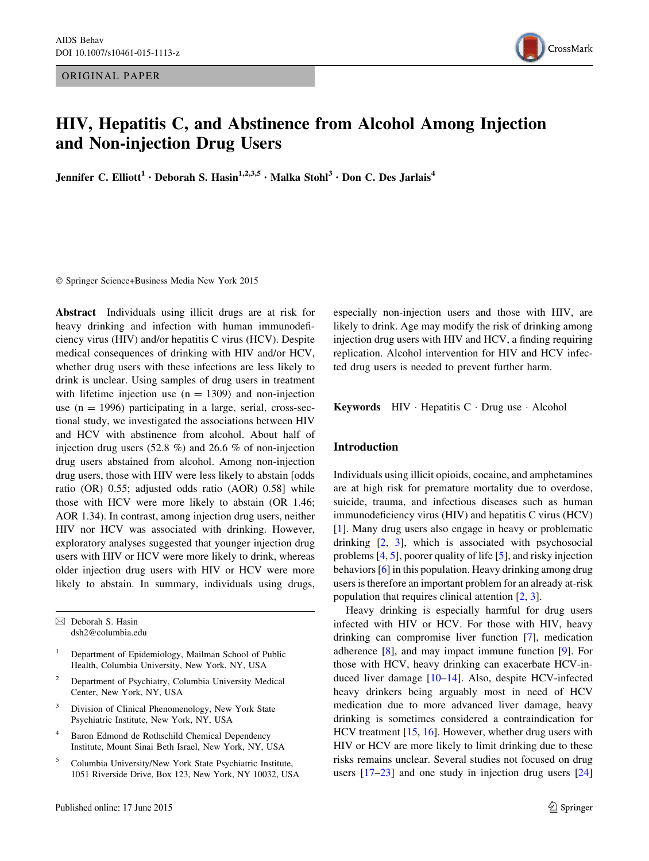ORIGINAL PAPER



# HIV, Hepatitis C, and Abstinence from Alcohol Among Injection and Non-injection Drug Users

Jennifer C. Elliott<sup>1</sup> · Deborah S. Hasin<sup>1,2,3,5</sup> · Malka Stohl<sup>3</sup> · Don C. Des Jarlais<sup>4</sup>

- Springer Science+Business Media New York 2015

Abstract Individuals using illicit drugs are at risk for heavy drinking and infection with human immunodeficiency virus (HIV) and/or hepatitis C virus (HCV). Despite medical consequences of drinking with HIV and/or HCV, whether drug users with these infections are less likely to drink is unclear. Using samples of drug users in treatment with lifetime injection use  $(n = 1309)$  and non-injection use  $(n = 1996)$  participating in a large, serial, cross-sectional study, we investigated the associations between HIV and HCV with abstinence from alcohol. About half of injection drug users (52.8 %) and 26.6 % of non-injection drug users abstained from alcohol. Among non-injection drug users, those with HIV were less likely to abstain [odds ratio (OR) 0.55; adjusted odds ratio (AOR) 0.58] while those with HCV were more likely to abstain (OR 1.46; AOR 1.34). In contrast, among injection drug users, neither HIV nor HCV was associated with drinking. However, exploratory analyses suggested that younger injection drug users with HIV or HCV were more likely to drink, whereas older injection drug users with HIV or HCV were more likely to abstain. In summary, individuals using drugs,

 $\boxtimes$  Deborah S. Hasin dsh2@columbia.edu

- <sup>1</sup> Department of Epidemiology, Mailman School of Public Health, Columbia University, New York, NY, USA
- <sup>2</sup> Department of Psychiatry, Columbia University Medical Center, New York, NY, USA
- <sup>3</sup> Division of Clinical Phenomenology, New York State Psychiatric Institute, New York, NY, USA
- Baron Edmond de Rothschild Chemical Dependency Institute, Mount Sinai Beth Israel, New York, NY, USA
- <sup>5</sup> Columbia University/New York State Psychiatric Institute, 1051 Riverside Drive, Box 123, New York, NY 10032, USA

especially non-injection users and those with HIV, are likely to drink. Age may modify the risk of drinking among injection drug users with HIV and HCV, a finding requiring replication. Alcohol intervention for HIV and HCV infected drug users is needed to prevent further harm.

Keywords HIV · Hepatitis C · Drug use · Alcohol

## Introduction

Individuals using illicit opioids, cocaine, and amphetamines are at high risk for premature mortality due to overdose, suicide, trauma, and infectious diseases such as human immunodeficiency virus (HIV) and hepatitis C virus (HCV) [\[1](#page-5-0)]. Many drug users also engage in heavy or problematic drinking [\[2](#page-5-0), [3\]](#page-5-0), which is associated with psychosocial problems [[4,](#page-5-0) [5](#page-5-0)], poorer quality of life [[5\]](#page-5-0), and risky injection behaviors [\[6](#page-6-0)] in this population. Heavy drinking among drug users is therefore an important problem for an already at-risk population that requires clinical attention [[2,](#page-5-0) [3\]](#page-5-0).

Heavy drinking is especially harmful for drug users infected with HIV or HCV. For those with HIV, heavy drinking can compromise liver function [[7\]](#page-6-0), medication adherence [[8\]](#page-6-0), and may impact immune function [[9\]](#page-6-0). For those with HCV, heavy drinking can exacerbate HCV-induced liver damage [\[10](#page-6-0)–[14\]](#page-6-0). Also, despite HCV-infected heavy drinkers being arguably most in need of HCV medication due to more advanced liver damage, heavy drinking is sometimes considered a contraindication for HCV treatment [\[15](#page-6-0), [16](#page-6-0)]. However, whether drug users with HIV or HCV are more likely to limit drinking due to these risks remains unclear. Several studies not focused on drug users [\[17–23](#page-6-0)] and one study in injection drug users [[24\]](#page-6-0)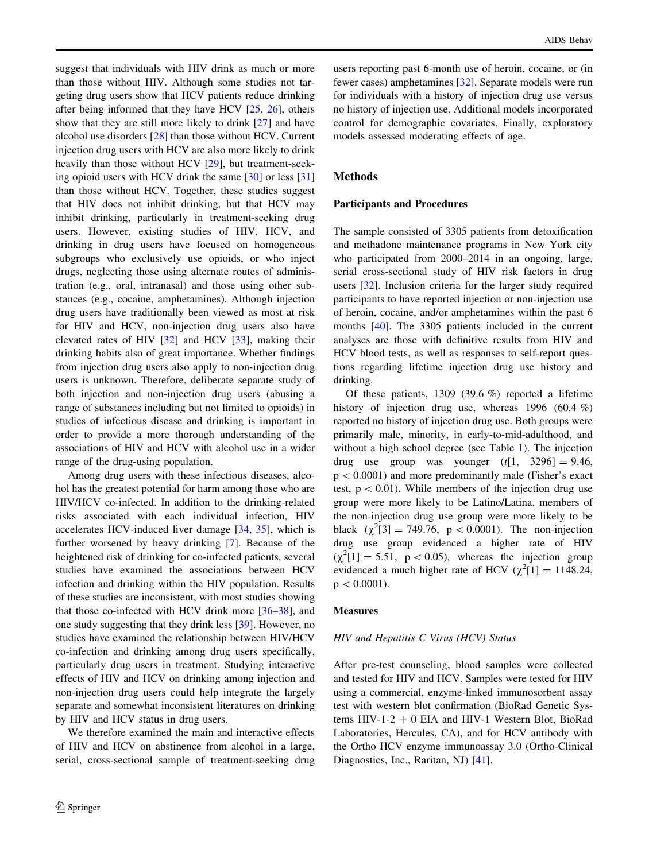suggest that individuals with HIV drink as much or more than those without HIV. Although some studies not targeting drug users show that HCV patients reduce drinking after being informed that they have HCV [\[25](#page-6-0), [26](#page-6-0)], others show that they are still more likely to drink [\[27](#page-6-0)] and have alcohol use disorders [[28\]](#page-6-0) than those without HCV. Current injection drug users with HCV are also more likely to drink heavily than those without HCV [\[29](#page-6-0)], but treatment-seeking opioid users with HCV drink the same [[30\]](#page-6-0) or less [[31\]](#page-6-0) than those without HCV. Together, these studies suggest that HIV does not inhibit drinking, but that HCV may inhibit drinking, particularly in treatment-seeking drug users. However, existing studies of HIV, HCV, and drinking in drug users have focused on homogeneous subgroups who exclusively use opioids, or who inject drugs, neglecting those using alternate routes of administration (e.g., oral, intranasal) and those using other substances (e.g., cocaine, amphetamines). Although injection drug users have traditionally been viewed as most at risk for HIV and HCV, non-injection drug users also have elevated rates of HIV [[32](#page-6-0)] and HCV [[33\]](#page-6-0), making their drinking habits also of great importance. Whether findings from injection drug users also apply to non-injection drug users is unknown. Therefore, deliberate separate study of both injection and non-injection drug users (abusing a range of substances including but not limited to opioids) in studies of infectious disease and drinking is important in order to provide a more thorough understanding of the associations of HIV and HCV with alcohol use in a wider range of the drug-using population.

Among drug users with these infectious diseases, alcohol has the greatest potential for harm among those who are HIV/HCV co-infected. In addition to the drinking-related risks associated with each individual infection, HIV accelerates HCV-induced liver damage [[34,](#page-6-0) [35\]](#page-6-0), which is further worsened by heavy drinking [[7\]](#page-6-0). Because of the heightened risk of drinking for co-infected patients, several studies have examined the associations between HCV infection and drinking within the HIV population. Results of these studies are inconsistent, with most studies showing that those co-infected with HCV drink more [\[36–38](#page-6-0)], and one study suggesting that they drink less [\[39](#page-6-0)]. However, no studies have examined the relationship between HIV/HCV co-infection and drinking among drug users specifically, particularly drug users in treatment. Studying interactive effects of HIV and HCV on drinking among injection and non-injection drug users could help integrate the largely separate and somewhat inconsistent literatures on drinking by HIV and HCV status in drug users.

We therefore examined the main and interactive effects of HIV and HCV on abstinence from alcohol in a large, serial, cross-sectional sample of treatment-seeking drug users reporting past 6-month use of heroin, cocaine, or (in fewer cases) amphetamines [\[32](#page-6-0)]. Separate models were run for individuals with a history of injection drug use versus no history of injection use. Additional models incorporated control for demographic covariates. Finally, exploratory models assessed moderating effects of age.

## Methods

#### Participants and Procedures

The sample consisted of 3305 patients from detoxification and methadone maintenance programs in New York city who participated from 2000–2014 in an ongoing, large, serial cross-sectional study of HIV risk factors in drug users [[32\]](#page-6-0). Inclusion criteria for the larger study required participants to have reported injection or non-injection use of heroin, cocaine, and/or amphetamines within the past 6 months [[40\]](#page-6-0). The 3305 patients included in the current analyses are those with definitive results from HIV and HCV blood tests, as well as responses to self-report questions regarding lifetime injection drug use history and drinking.

Of these patients, 1309 (39.6 %) reported a lifetime history of injection drug use, whereas 1996 (60.4 %) reported no history of injection drug use. Both groups were primarily male, minority, in early-to-mid-adulthood, and without a high school degree (see Table [1\)](#page-2-0). The injection drug use group was younger  $(t[1, 3296] = 9.46$ ,  $p < 0.0001$ ) and more predominantly male (Fisher's exact test,  $p < 0.01$ ). While members of the injection drug use group were more likely to be Latino/Latina, members of the non-injection drug use group were more likely to be black  $(\chi^2[3] = 749.76, p < 0.0001)$ . The non-injection drug use group evidenced a higher rate of HIV  $(\chi^2[1] = 5.51, p < 0.05)$ , whereas the injection group evidenced a much higher rate of HCV  $(\chi^2[1] = 1148.24,$  $p < 0.0001$ ).

#### **Measures**

#### HIV and Hepatitis C Virus (HCV) Status

After pre-test counseling, blood samples were collected and tested for HIV and HCV. Samples were tested for HIV using a commercial, enzyme-linked immunosorbent assay test with western blot confirmation (BioRad Genetic Systems  $HIV-1-2 + 0$  EIA and  $HIV-1$  Western Blot, BioRad Laboratories, Hercules, CA), and for HCV antibody with the Ortho HCV enzyme immunoassay 3.0 (Ortho-Clinical Diagnostics, Inc., Raritan, NJ) [[41\]](#page-6-0).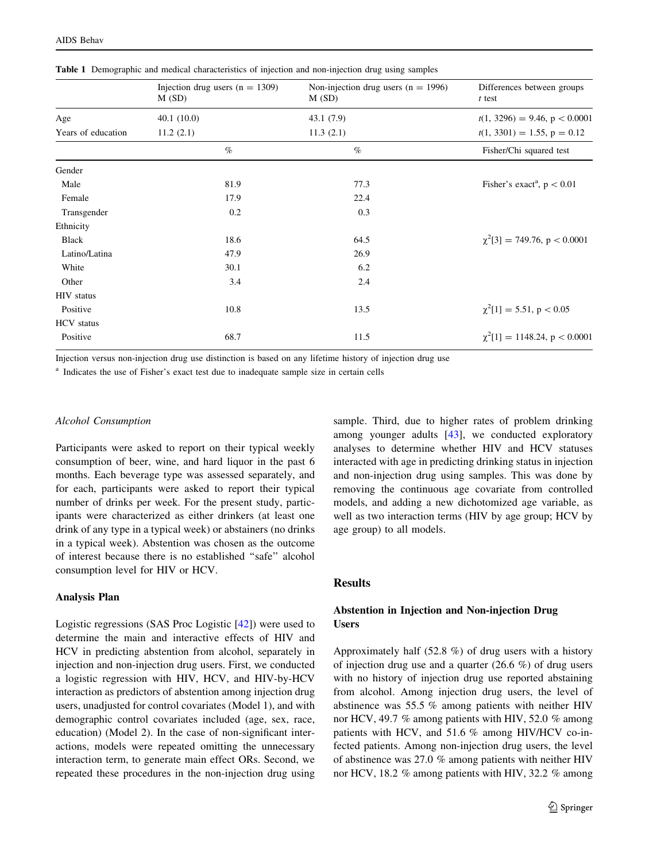|                    | Injection drug users $(n = 1309)$<br>M(SD) | Non-injection drug users $(n = 1996)$<br>M(SD) | Differences between groups<br>$t$ test   |
|--------------------|--------------------------------------------|------------------------------------------------|------------------------------------------|
| Age                | 40.1(10.0)                                 | 43.1(7.9)                                      | $t(1, 3296) = 9.46$ , p < 0.0001         |
| Years of education | 11.2(2.1)                                  | 11.3(2.1)                                      | $t(1, 3301) = 1.55$ , $p = 0.12$         |
|                    | $\%$                                       | $\%$                                           | Fisher/Chi squared test                  |
| Gender             |                                            |                                                |                                          |
| Male               | 81.9                                       | 77.3                                           | Fisher's exact <sup>a</sup> , $p < 0.01$ |
| Female             | 17.9                                       | 22.4                                           |                                          |
| Transgender        | 0.2                                        | 0.3                                            |                                          |
| Ethnicity          |                                            |                                                |                                          |
| <b>Black</b>       | 18.6                                       | 64.5                                           | $\chi^2[3] = 749.76$ , p < 0.0001        |
| Latino/Latina      | 47.9                                       | 26.9                                           |                                          |
| White              | 30.1                                       | 6.2                                            |                                          |
| Other              | 3.4                                        | 2.4                                            |                                          |
| <b>HIV</b> status  |                                            |                                                |                                          |
| Positive           | 10.8                                       | 13.5                                           | $\chi^2[1] = 5.51, p < 0.05$             |
| <b>HCV</b> status  |                                            |                                                |                                          |
| Positive           | 68.7                                       | 11.5                                           | $\chi^2[1] = 1148.24$ , p < 0.0001       |

<span id="page-2-0"></span>Table 1 Demographic and medical characteristics of injection and non-injection drug using samples

Injection versus non-injection drug use distinction is based on any lifetime history of injection drug use

<sup>a</sup> Indicates the use of Fisher's exact test due to inadequate sample size in certain cells

#### Alcohol Consumption

Participants were asked to report on their typical weekly consumption of beer, wine, and hard liquor in the past 6 months. Each beverage type was assessed separately, and for each, participants were asked to report their typical number of drinks per week. For the present study, participants were characterized as either drinkers (at least one drink of any type in a typical week) or abstainers (no drinks in a typical week). Abstention was chosen as the outcome of interest because there is no established ''safe'' alcohol consumption level for HIV or HCV.

#### Analysis Plan

Logistic regressions (SAS Proc Logistic [[42\]](#page-6-0)) were used to determine the main and interactive effects of HIV and HCV in predicting abstention from alcohol, separately in injection and non-injection drug users. First, we conducted a logistic regression with HIV, HCV, and HIV-by-HCV interaction as predictors of abstention among injection drug users, unadjusted for control covariates (Model 1), and with demographic control covariates included (age, sex, race, education) (Model 2). In the case of non-significant interactions, models were repeated omitting the unnecessary interaction term, to generate main effect ORs. Second, we repeated these procedures in the non-injection drug using sample. Third, due to higher rates of problem drinking among younger adults [\[43](#page-6-0)], we conducted exploratory analyses to determine whether HIV and HCV statuses interacted with age in predicting drinking status in injection and non-injection drug using samples. This was done by removing the continuous age covariate from controlled models, and adding a new dichotomized age variable, as well as two interaction terms (HIV by age group; HCV by age group) to all models.

## **Results**

# Abstention in Injection and Non-injection Drug Users

Approximately half (52.8 %) of drug users with a history of injection drug use and a quarter (26.6 %) of drug users with no history of injection drug use reported abstaining from alcohol. Among injection drug users, the level of abstinence was 55.5 % among patients with neither HIV nor HCV, 49.7 % among patients with HIV, 52.0 % among patients with HCV, and 51.6 % among HIV/HCV co-infected patients. Among non-injection drug users, the level of abstinence was 27.0 % among patients with neither HIV nor HCV, 18.2 % among patients with HIV, 32.2 % among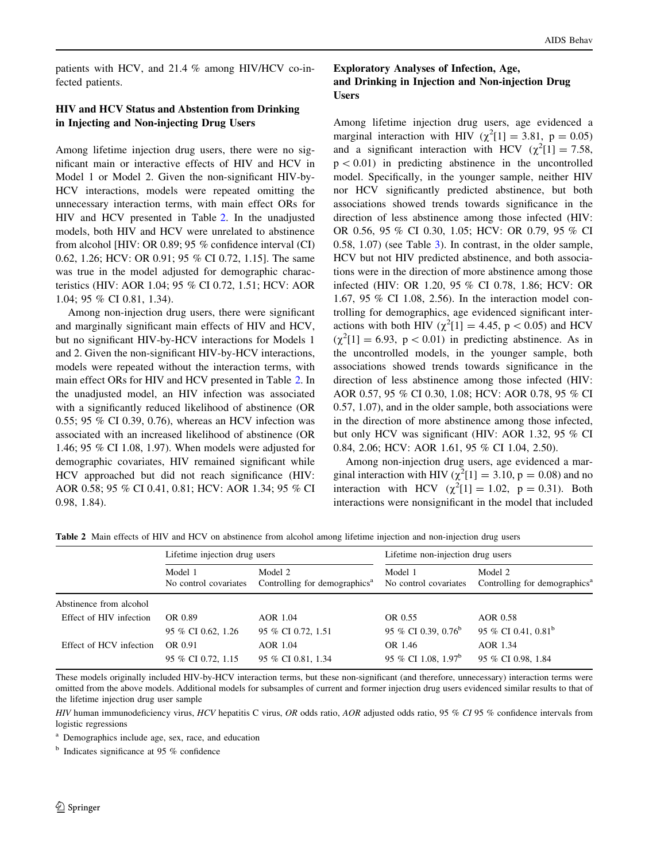patients with HCV, and 21.4 % among HIV/HCV co-infected patients.

# HIV and HCV Status and Abstention from Drinking in Injecting and Non-injecting Drug Users

Among lifetime injection drug users, there were no significant main or interactive effects of HIV and HCV in Model 1 or Model 2. Given the non-significant HIV-by-HCV interactions, models were repeated omitting the unnecessary interaction terms, with main effect ORs for HIV and HCV presented in Table 2. In the unadjusted models, both HIV and HCV were unrelated to abstinence from alcohol [HIV: OR 0.89; 95 % confidence interval (CI) 0.62, 1.26; HCV: OR 0.91; 95 % CI 0.72, 1.15]. The same was true in the model adjusted for demographic characteristics (HIV: AOR 1.04; 95 % CI 0.72, 1.51; HCV: AOR 1.04; 95 % CI 0.81, 1.34).

Among non-injection drug users, there were significant and marginally significant main effects of HIV and HCV, but no significant HIV-by-HCV interactions for Models 1 and 2. Given the non-significant HIV-by-HCV interactions, models were repeated without the interaction terms, with main effect ORs for HIV and HCV presented in Table 2. In the unadjusted model, an HIV infection was associated with a significantly reduced likelihood of abstinence (OR 0.55; 95 % CI 0.39, 0.76), whereas an HCV infection was associated with an increased likelihood of abstinence (OR 1.46; 95 % CI 1.08, 1.97). When models were adjusted for demographic covariates, HIV remained significant while HCV approached but did not reach significance (HIV: AOR 0.58; 95 % CI 0.41, 0.81; HCV: AOR 1.34; 95 % CI 0.98, 1.84).

# Exploratory Analyses of Infection, Age, and Drinking in Injection and Non-injection Drug Users

Among lifetime injection drug users, age evidenced a marginal interaction with HIV ( $\chi^2[1] = 3.81$ , p = 0.05) and a significant interaction with HCV  $(\chi^2[1] = 7.58,$  $p < 0.01$  in predicting abstinence in the uncontrolled model. Specifically, in the younger sample, neither HIV nor HCV significantly predicted abstinence, but both associations showed trends towards significance in the direction of less abstinence among those infected (HIV: OR 0.56, 95 % CI 0.30, 1.05; HCV: OR 0.79, 95 % CI 0.58, 1.07) (see Table [3](#page-4-0)). In contrast, in the older sample, HCV but not HIV predicted abstinence, and both associations were in the direction of more abstinence among those infected (HIV: OR 1.20, 95 % CI 0.78, 1.86; HCV: OR 1.67, 95 % CI 1.08, 2.56). In the interaction model controlling for demographics, age evidenced significant interactions with both HIV ( $\chi^2[1] = 4.45$ , p < 0.05) and HCV  $(\chi^2[1] = 6.93, p < 0.01)$  in predicting abstinence. As in the uncontrolled models, in the younger sample, both associations showed trends towards significance in the direction of less abstinence among those infected (HIV: AOR 0.57, 95 % CI 0.30, 1.08; HCV: AOR 0.78, 95 % CI 0.57, 1.07), and in the older sample, both associations were in the direction of more abstinence among those infected, but only HCV was significant (HIV: AOR 1.32, 95 % CI 0.84, 2.06; HCV: AOR 1.61, 95 % CI 1.04, 2.50).

Among non-injection drug users, age evidenced a marginal interaction with HIV ( $\chi^2[1] = 3.10$ , p = 0.08) and no interaction with HCV  $(\chi^2[1] = 1.02, p = 0.31)$ . Both interactions were nonsignificant in the model that included

| Table 2 Main effects of HIV and HCV on abstinence from alcohol among lifetime injection and non-injection drug users |  |  |  |  |
|----------------------------------------------------------------------------------------------------------------------|--|--|--|--|
|----------------------------------------------------------------------------------------------------------------------|--|--|--|--|

|                         | Lifetime injection drug users    |                                                      | Lifetime non-injection drug users |                                                      |
|-------------------------|----------------------------------|------------------------------------------------------|-----------------------------------|------------------------------------------------------|
|                         | Model 1<br>No control covariates | Model 2<br>Controlling for demographics <sup>a</sup> | Model 1<br>No control covariates  | Model 2<br>Controlling for demographics <sup>a</sup> |
| Abstinence from alcohol |                                  |                                                      |                                   |                                                      |
| Effect of HIV infection | OR 0.89                          | AOR 1.04                                             | OR 0.55                           | AOR 0.58                                             |
|                         | 95 % CI 0.62, 1.26               | 95 % CI 0.72, 1.51                                   | 95 % CI 0.39, 0.76 <sup>b</sup>   | 95 % CI 0.41, $0.81^b$                               |
| Effect of HCV infection | OR 0.91                          | AOR 1.04                                             | OR 1.46                           | AOR 1.34                                             |
|                         | 95 % CI 0.72, 1.15               | 95 % CI 0.81, 1.34                                   | 95 % CI 1.08, 1.97 <sup>b</sup>   | 95 % CI 0.98, 1.84                                   |

These models originally included HIV-by-HCV interaction terms, but these non-significant (and therefore, unnecessary) interaction terms were omitted from the above models. Additional models for subsamples of current and former injection drug users evidenced similar results to that of the lifetime injection drug user sample

HIV human immunodeficiency virus, HCV hepatitis C virus, OR odds ratio, AOR adjusted odds ratio, 95 % CI 95 % confidence intervals from logistic regressions

<sup>a</sup> Demographics include age, sex, race, and education

 $<sup>b</sup>$  Indicates significance at 95 % confidence</sup>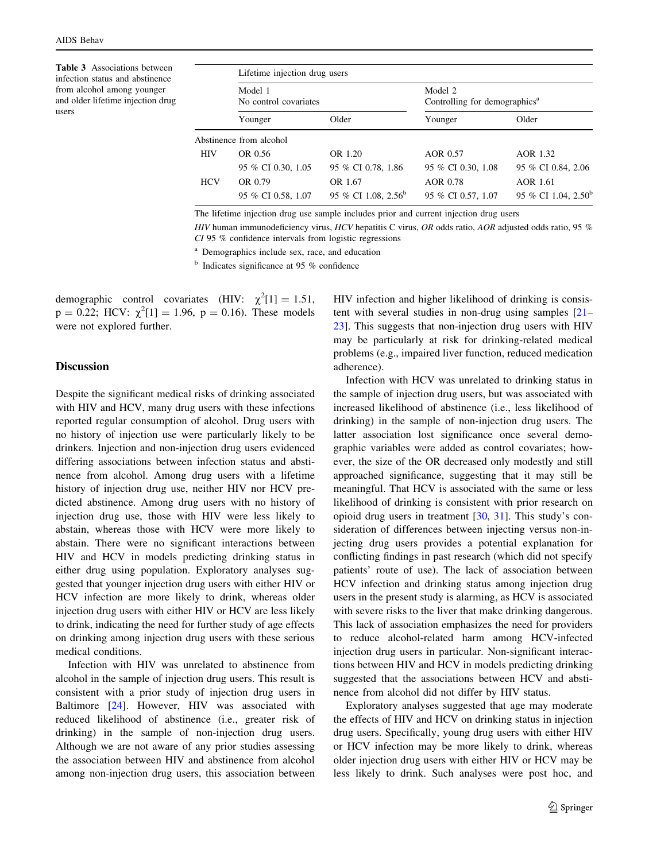<span id="page-4-0"></span>Table 3 Associations between infection status and abstinence from alcohol among younger and older lifetime injection drug users

|            | Lifetime injection drug users    |                                 |                                                      |                        |  |
|------------|----------------------------------|---------------------------------|------------------------------------------------------|------------------------|--|
|            | Model 1<br>No control covariates |                                 | Model 2<br>Controlling for demographics <sup>a</sup> |                        |  |
|            | Younger                          | Older                           | Younger                                              | Older                  |  |
|            | Abstinence from alcohol          |                                 |                                                      |                        |  |
| <b>HIV</b> | OR 0.56                          | OR 1.20                         | AOR 0.57                                             | AOR 1.32               |  |
|            | 95 % CI 0.30, 1.05               | 95 % CI 0.78, 1.86              | 95 % CI 0.30, 1.08                                   | 95 % CI 0.84, 2.06     |  |
| <b>HCV</b> | OR 0.79                          | OR 1.67                         | AOR 0.78                                             | AOR 1.61               |  |
|            | 95 % CI 0.58, 1.07               | 95 % CI 1.08, 2.56 <sup>b</sup> | 95 % CI 0.57, 1.07                                   | 95 % CI 1.04, $2.50^b$ |  |

The lifetime injection drug use sample includes prior and current injection drug users

HIV human immunodeficiency virus, HCV hepatitis C virus, OR odds ratio, AOR adjusted odds ratio, 95 % CI 95 % confidence intervals from logistic regressions

<sup>a</sup> Demographics include sex, race, and education

 $<sup>b</sup>$  Indicates significance at 95 % confidence</sup>

demographic control covariates (HIV:  $\chi^2[1] = 1.51$ ,  $p = 0.22$ ; HCV:  $\chi^2[1] = 1.96$ ,  $p = 0.16$ ). These models were not explored further.

## **Discussion**

Despite the significant medical risks of drinking associated with HIV and HCV, many drug users with these infections reported regular consumption of alcohol. Drug users with no history of injection use were particularly likely to be drinkers. Injection and non-injection drug users evidenced differing associations between infection status and abstinence from alcohol. Among drug users with a lifetime history of injection drug use, neither HIV nor HCV predicted abstinence. Among drug users with no history of injection drug use, those with HIV were less likely to abstain, whereas those with HCV were more likely to abstain. There were no significant interactions between HIV and HCV in models predicting drinking status in either drug using population. Exploratory analyses suggested that younger injection drug users with either HIV or HCV infection are more likely to drink, whereas older injection drug users with either HIV or HCV are less likely to drink, indicating the need for further study of age effects on drinking among injection drug users with these serious medical conditions.

Infection with HIV was unrelated to abstinence from alcohol in the sample of injection drug users. This result is consistent with a prior study of injection drug users in Baltimore [\[24](#page-6-0)]. However, HIV was associated with reduced likelihood of abstinence (i.e., greater risk of drinking) in the sample of non-injection drug users. Although we are not aware of any prior studies assessing the association between HIV and abstinence from alcohol among non-injection drug users, this association between HIV infection and higher likelihood of drinking is consistent with several studies in non-drug using samples [\[21](#page-6-0)– [23](#page-6-0)]. This suggests that non-injection drug users with HIV may be particularly at risk for drinking-related medical problems (e.g., impaired liver function, reduced medication adherence).

Infection with HCV was unrelated to drinking status in the sample of injection drug users, but was associated with increased likelihood of abstinence (i.e., less likelihood of drinking) in the sample of non-injection drug users. The latter association lost significance once several demographic variables were added as control covariates; however, the size of the OR decreased only modestly and still approached significance, suggesting that it may still be meaningful. That HCV is associated with the same or less likelihood of drinking is consistent with prior research on opioid drug users in treatment [\[30](#page-6-0), [31](#page-6-0)]. This study's consideration of differences between injecting versus non-injecting drug users provides a potential explanation for conflicting findings in past research (which did not specify patients' route of use). The lack of association between HCV infection and drinking status among injection drug users in the present study is alarming, as HCV is associated with severe risks to the liver that make drinking dangerous. This lack of association emphasizes the need for providers to reduce alcohol-related harm among HCV-infected injection drug users in particular. Non-significant interactions between HIV and HCV in models predicting drinking suggested that the associations between HCV and abstinence from alcohol did not differ by HIV status.

Exploratory analyses suggested that age may moderate the effects of HIV and HCV on drinking status in injection drug users. Specifically, young drug users with either HIV or HCV infection may be more likely to drink, whereas older injection drug users with either HIV or HCV may be less likely to drink. Such analyses were post hoc, and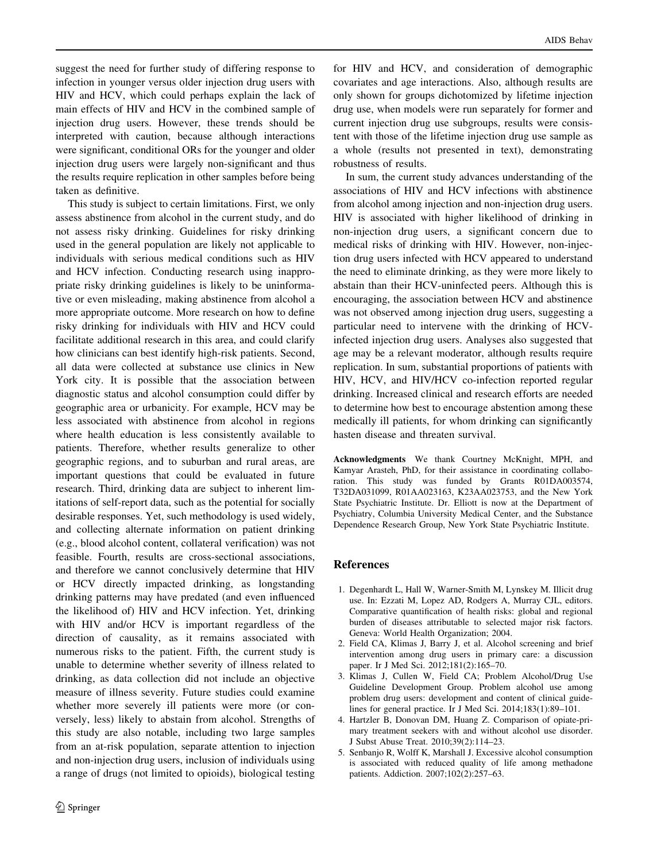<span id="page-5-0"></span>suggest the need for further study of differing response to infection in younger versus older injection drug users with HIV and HCV, which could perhaps explain the lack of main effects of HIV and HCV in the combined sample of injection drug users. However, these trends should be interpreted with caution, because although interactions were significant, conditional ORs for the younger and older injection drug users were largely non-significant and thus the results require replication in other samples before being taken as definitive.

This study is subject to certain limitations. First, we only assess abstinence from alcohol in the current study, and do not assess risky drinking. Guidelines for risky drinking used in the general population are likely not applicable to individuals with serious medical conditions such as HIV and HCV infection. Conducting research using inappropriate risky drinking guidelines is likely to be uninformative or even misleading, making abstinence from alcohol a more appropriate outcome. More research on how to define risky drinking for individuals with HIV and HCV could facilitate additional research in this area, and could clarify how clinicians can best identify high-risk patients. Second, all data were collected at substance use clinics in New York city. It is possible that the association between diagnostic status and alcohol consumption could differ by geographic area or urbanicity. For example, HCV may be less associated with abstinence from alcohol in regions where health education is less consistently available to patients. Therefore, whether results generalize to other geographic regions, and to suburban and rural areas, are important questions that could be evaluated in future research. Third, drinking data are subject to inherent limitations of self-report data, such as the potential for socially desirable responses. Yet, such methodology is used widely, and collecting alternate information on patient drinking (e.g., blood alcohol content, collateral verification) was not feasible. Fourth, results are cross-sectional associations, and therefore we cannot conclusively determine that HIV or HCV directly impacted drinking, as longstanding drinking patterns may have predated (and even influenced the likelihood of) HIV and HCV infection. Yet, drinking with HIV and/or HCV is important regardless of the direction of causality, as it remains associated with numerous risks to the patient. Fifth, the current study is unable to determine whether severity of illness related to drinking, as data collection did not include an objective measure of illness severity. Future studies could examine whether more severely ill patients were more (or conversely, less) likely to abstain from alcohol. Strengths of this study are also notable, including two large samples from an at-risk population, separate attention to injection and non-injection drug users, inclusion of individuals using a range of drugs (not limited to opioids), biological testing

for HIV and HCV, and consideration of demographic covariates and age interactions. Also, although results are only shown for groups dichotomized by lifetime injection drug use, when models were run separately for former and current injection drug use subgroups, results were consistent with those of the lifetime injection drug use sample as a whole (results not presented in text), demonstrating robustness of results.

In sum, the current study advances understanding of the associations of HIV and HCV infections with abstinence from alcohol among injection and non-injection drug users. HIV is associated with higher likelihood of drinking in non-injection drug users, a significant concern due to medical risks of drinking with HIV. However, non-injection drug users infected with HCV appeared to understand the need to eliminate drinking, as they were more likely to abstain than their HCV-uninfected peers. Although this is encouraging, the association between HCV and abstinence was not observed among injection drug users, suggesting a particular need to intervene with the drinking of HCVinfected injection drug users. Analyses also suggested that age may be a relevant moderator, although results require replication. In sum, substantial proportions of patients with HIV, HCV, and HIV/HCV co-infection reported regular drinking. Increased clinical and research efforts are needed to determine how best to encourage abstention among these medically ill patients, for whom drinking can significantly hasten disease and threaten survival.

Acknowledgments We thank Courtney McKnight, MPH, and Kamyar Arasteh, PhD, for their assistance in coordinating collaboration. This study was funded by Grants R01DA003574, T32DA031099, R01AA023163, K23AA023753, and the New York State Psychiatric Institute. Dr. Elliott is now at the Department of Psychiatry, Columbia University Medical Center, and the Substance Dependence Research Group, New York State Psychiatric Institute.

## References

- 1. Degenhardt L, Hall W, Warner-Smith M, Lynskey M. Illicit drug use. In: Ezzati M, Lopez AD, Rodgers A, Murray CJL, editors. Comparative quantification of health risks: global and regional burden of diseases attributable to selected major risk factors. Geneva: World Health Organization; 2004.
- 2. Field CA, Klimas J, Barry J, et al. Alcohol screening and brief intervention among drug users in primary care: a discussion paper. Ir J Med Sci. 2012;181(2):165–70.
- 3. Klimas J, Cullen W, Field CA; Problem Alcohol/Drug Use Guideline Development Group. Problem alcohol use among problem drug users: development and content of clinical guidelines for general practice. Ir J Med Sci. 2014;183(1):89–101.
- 4. Hartzler B, Donovan DM, Huang Z. Comparison of opiate-primary treatment seekers with and without alcohol use disorder. J Subst Abuse Treat. 2010;39(2):114–23.
- 5. Senbanjo R, Wolff K, Marshall J. Excessive alcohol consumption is associated with reduced quality of life among methadone patients. Addiction. 2007;102(2):257–63.